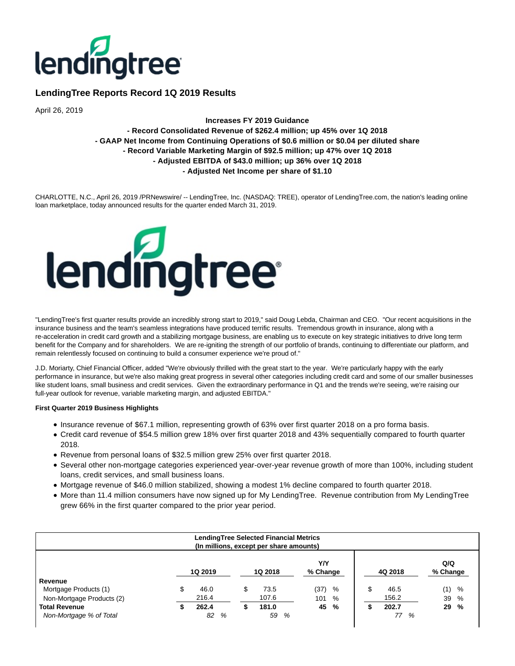

# **LendingTree Reports Record 1Q 2019 Results**

April 26, 2019

## **Increases FY 2019 Guidance - Record Consolidated Revenue of \$262.4 million; up 45% over 1Q 2018 - GAAP Net Income from Continuing Operations of \$0.6 million or \$0.04 per diluted share - Record Variable Marketing Margin of \$92.5 million; up 47% over 1Q 2018 - Adjusted EBITDA of \$43.0 million; up 36% over 1Q 2018 - Adjusted Net Income per share of \$1.10**

CHARLOTTE, N.C., April 26, 2019 /PRNewswire/ -- LendingTree, Inc. (NASDAQ: TREE), operator of LendingTree.com, the nation's leading online loan marketplace, today announced results for the quarter ended March 31, 2019.



"LendingTree's first quarter results provide an incredibly strong start to 2019," said Doug Lebda, Chairman and CEO. "Our recent acquisitions in the insurance business and the team's seamless integrations have produced terrific results. Tremendous growth in insurance, along with a re-acceleration in credit card growth and a stabilizing mortgage business, are enabling us to execute on key strategic initiatives to drive long term benefit for the Company and for shareholders. We are re-igniting the strength of our portfolio of brands, continuing to differentiate our platform, and remain relentlessly focused on continuing to build a consumer experience we're proud of."

J.D. Moriarty, Chief Financial Officer, added "We're obviously thrilled with the great start to the year. We're particularly happy with the early performance in insurance, but we're also making great progress in several other categories including credit card and some of our smaller businesses like student loans, small business and credit services. Given the extraordinary performance in Q1 and the trends we're seeing, we're raising our full-year outlook for revenue, variable marketing margin, and adjusted EBITDA."

## **First Quarter 2019 Business Highlights**

- Insurance revenue of \$67.1 million, representing growth of 63% over first quarter 2018 on a pro forma basis.
- Credit card revenue of \$54.5 million grew 18% over first quarter 2018 and 43% sequentially compared to fourth quarter 2018.
- Revenue from personal loans of \$32.5 million grew 25% over first quarter 2018.
- Several other non-mortgage categories experienced year-over-year revenue growth of more than 100%, including student loans, credit services, and small business loans.
- Mortgage revenue of \$46.0 million stabilized, showing a modest 1% decline compared to fourth quarter 2018.
- More than 11.4 million consumers have now signed up for My LendingTree. Revenue contribution from My LendingTree grew 66% in the first quarter compared to the prior year period.

| LendingTree Selected Financial Metrics<br>(In millions, except per share amounts) |    |                |   |         |                 |   |    |         |                 |   |
|-----------------------------------------------------------------------------------|----|----------------|---|---------|-----------------|---|----|---------|-----------------|---|
|                                                                                   |    | <b>1Q 2019</b> |   | 1Q 2018 | Y/Y<br>% Change |   |    | 4Q 2018 | Q/Q<br>% Change |   |
| Revenue                                                                           |    |                |   |         |                 |   |    |         |                 |   |
| Mortgage Products (1)                                                             | \$ | 46.0           | S | 73.5    | (37)            | % | \$ | 46.5    | (1)             | % |
| Non-Mortgage Products (2)                                                         |    | 216.4          |   | 107.6   | 101             | % |    | 156.2   | 39              | % |
| <b>Total Revenue</b>                                                              |    | 262.4          |   | 181.0   | 45              | % |    | 202.7   | 29              | % |
| Non-Mortgage % of Total                                                           |    | 82<br>%        |   | 59<br>% |                 |   |    | %<br>77 |                 |   |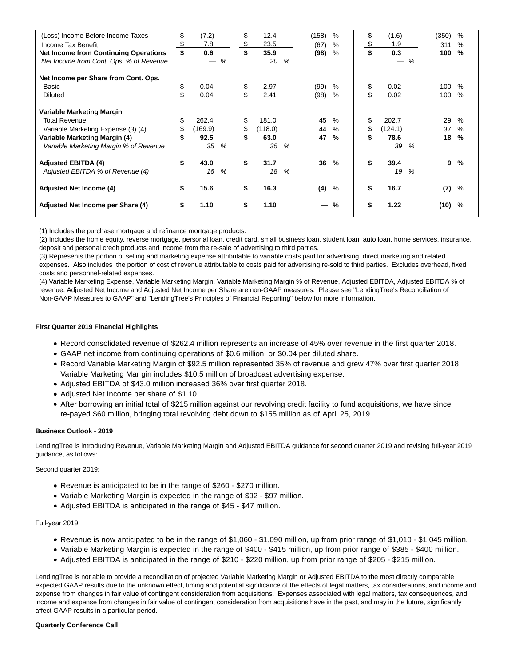| (Loss) Income Before Income Taxes<br>Income Tax Benefit<br><b>Net Income from Continuing Operations</b><br>Net Income from Cont. Ops. % of Revenue | \$<br>\$ | (7.2)<br>7.8<br>0.6 | % | \$<br>\$<br>\$ | 12.4<br>23.5<br>35.9<br>20 | % | (158)<br>(67)<br>(98) | %<br>%<br>% | \$<br>\$ | (1.6)<br>1.9<br>0.3 | % | (350)<br>311<br>100 | %<br>%<br>$\%$ |
|----------------------------------------------------------------------------------------------------------------------------------------------------|----------|---------------------|---|----------------|----------------------------|---|-----------------------|-------------|----------|---------------------|---|---------------------|----------------|
| Net Income per Share from Cont. Ops.                                                                                                               |          |                     |   |                |                            |   |                       |             |          |                     |   |                     |                |
| Basic                                                                                                                                              | \$       | 0.04                |   | \$             | 2.97                       |   | (99)                  | %           | \$       | 0.02                |   | 100                 | $\%$           |
| <b>Diluted</b>                                                                                                                                     | \$       | 0.04                |   | \$             | 2.41                       |   | (98)                  | %           | \$       | 0.02                |   | 100                 | $\%$           |
| Variable Marketing Margin                                                                                                                          |          |                     |   |                |                            |   |                       |             |          |                     |   |                     |                |
| <b>Total Revenue</b>                                                                                                                               | \$       | 262.4               |   | \$             | 181.0                      |   | 45                    | $\%$        | \$       | 202.7               |   | 29                  | $\%$           |
| Variable Marketing Expense (3) (4)                                                                                                                 |          | (169.9)             |   | S              | (118.0)                    |   | 44                    | $\%$        |          | (124.1)             |   | 37                  | $\%$           |
| Variable Marketing Margin (4)                                                                                                                      | \$       | 92.5                |   | \$             | 63.0                       |   | 47                    | %           | \$       | 78.6                |   | 18                  | %              |
| Variable Marketing Margin % of Revenue                                                                                                             |          | 35                  | % |                | 35                         | % |                       |             |          | 39                  | % |                     |                |
| <b>Adjusted EBITDA (4)</b>                                                                                                                         | \$       | 43.0                |   | \$             | 31.7                       |   | 36                    | $\%$        | \$       | 39.4                |   | 9                   | %              |
| Adjusted EBITDA % of Revenue (4)                                                                                                                   |          | 16                  | % |                | 18                         | % |                       |             |          | 19                  | % |                     |                |
| <b>Adjusted Net Income (4)</b>                                                                                                                     | \$       | 15.6                |   | \$             | 16.3                       |   | (4)                   | %           | \$       | 16.7                |   | (7)                 | %              |
| Adjusted Net Income per Share (4)                                                                                                                  | \$       | 1.10                |   | \$             | 1.10                       |   |                       | %           | \$       | 1.22                |   | (10)                | %              |

(1) Includes the purchase mortgage and refinance mortgage products.

(2) Includes the home equity, reverse mortgage, personal loan, credit card, small business loan, student loan, auto loan, home services, insurance, deposit and personal credit products and income from the re-sale of advertising to third parties.

(3) Represents the portion of selling and marketing expense attributable to variable costs paid for advertising, direct marketing and related expenses. Also includes the portion of cost of revenue attributable to costs paid for advertising re-sold to third parties. Excludes overhead, fixed costs and personnel-related expenses.

(4) Variable Marketing Expense, Variable Marketing Margin, Variable Marketing Margin % of Revenue, Adjusted EBITDA, Adjusted EBITDA % of revenue, Adjusted Net Income and Adjusted Net Income per Share are non-GAAP measures. Please see "LendingTree's Reconciliation of Non-GAAP Measures to GAAP" and "LendingTree's Principles of Financial Reporting" below for more information.

## **First Quarter 2019 Financial Highlights**

- Record consolidated revenue of \$262.4 million represents an increase of 45% over revenue in the first quarter 2018.
- GAAP net income from continuing operations of \$0.6 million, or \$0.04 per diluted share.
- Record Variable Marketing Margin of \$92.5 million represented 35% of revenue and grew 47% over first quarter 2018. Variable Marketing Mar gin includes \$10.5 million of broadcast advertising expense.
- Adjusted EBITDA of \$43.0 million increased 36% over first quarter 2018.
- Adjusted Net Income per share of \$1.10.
- After borrowing an initial total of \$215 million against our revolving credit facility to fund acquisitions, we have since re-payed \$60 million, bringing total revolving debt down to \$155 million as of April 25, 2019.

## **Business Outlook - 2019**

LendingTree is introducing Revenue, Variable Marketing Margin and Adjusted EBITDA guidance for second quarter 2019 and revising full-year 2019 guidance, as follows:

## Second quarter 2019:

- Revenue is anticipated to be in the range of \$260 \$270 million.
- Variable Marketing Margin is expected in the range of \$92 \$97 million.
- Adjusted EBITDA is anticipated in the range of \$45 \$47 million.

## Full-year 2019:

- Revenue is now anticipated to be in the range of \$1,060 \$1,090 million, up from prior range of \$1,010 \$1,045 million.
- Variable Marketing Margin is expected in the range of \$400 \$415 million, up from prior range of \$385 \$400 million.
- Adjusted EBITDA is anticipated in the range of \$210 \$220 million, up from prior range of \$205 \$215 million.

LendingTree is not able to provide a reconciliation of projected Variable Marketing Margin or Adjusted EBITDA to the most directly comparable expected GAAP results due to the unknown effect, timing and potential significance of the effects of legal matters, tax considerations, and income and expense from changes in fair value of contingent consideration from acquisitions. Expenses associated with legal matters, tax consequences, and income and expense from changes in fair value of contingent consideration from acquisitions have in the past, and may in the future, significantly affect GAAP results in a particular period.

## **Quarterly Conference Call**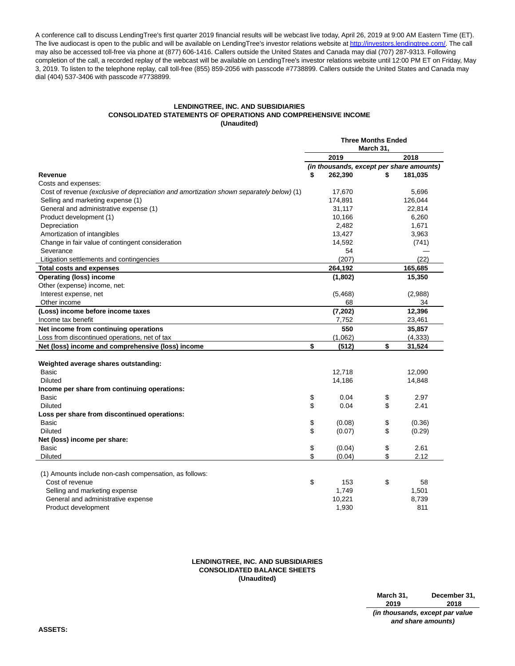A conference call to discuss LendingTree's first quarter 2019 financial results will be webcast live today, April 26, 2019 at 9:00 AM Eastern Time (ET). The live audiocast is open to the public and will be available on LendingTree's investor relations website a[t http://investors.lendingtree.com/.](http://investors.lendingtree.com/) The call may also be accessed toll-free via phone at (877) 606-1416. Callers outside the United States and Canada may dial (707) 287-9313. Following completion of the call, a recorded replay of the webcast will be available on LendingTree's investor relations website until 12:00 PM ET on Friday, May 3, 2019. To listen to the telephone replay, call toll-free (855) 859-2056 with passcode #7738899. Callers outside the United States and Canada may dial (404) 537-3406 with passcode #7738899.

## **LENDINGTREE, INC. AND SUBSIDIARIES CONSOLIDATED STATEMENTS OF OPERATIONS AND COMPREHENSIVE INCOME (Unaudited)**

|                                                                                         |    | <b>Three Months Ended</b> |           |  |                                          |
|-----------------------------------------------------------------------------------------|----|---------------------------|-----------|--|------------------------------------------|
|                                                                                         |    | 2019                      | March 31, |  | 2018                                     |
|                                                                                         |    |                           |           |  | (in thousands, except per share amounts) |
| Revenue                                                                                 | \$ | 262,390                   | \$        |  | 181,035                                  |
| Costs and expenses:                                                                     |    |                           |           |  |                                          |
| Cost of revenue (exclusive of depreciation and amortization shown separately below) (1) |    | 17,670                    |           |  | 5,696                                    |
| Selling and marketing expense (1)                                                       |    | 174,891                   |           |  | 126,044                                  |
| General and administrative expense (1)                                                  |    | 31,117                    |           |  | 22,814                                   |
| Product development (1)                                                                 |    | 10,166                    |           |  | 6,260                                    |
| Depreciation                                                                            |    | 2,482                     |           |  | 1,671                                    |
| Amortization of intangibles                                                             |    | 13,427                    |           |  | 3,963                                    |
| Change in fair value of contingent consideration                                        |    | 14,592                    |           |  | (741)                                    |
| Severance                                                                               |    | 54                        |           |  |                                          |
| Litigation settlements and contingencies                                                |    | (207)                     |           |  | (22)                                     |
| <b>Total costs and expenses</b>                                                         |    | 264,192                   |           |  | 165,685                                  |
| <b>Operating (loss) income</b>                                                          |    | (1,802)                   |           |  | 15,350                                   |
| Other (expense) income, net:                                                            |    |                           |           |  |                                          |
| Interest expense, net                                                                   |    | (5, 468)                  |           |  | (2,988)                                  |
| Other income                                                                            |    | 68                        |           |  | 34                                       |
| (Loss) income before income taxes                                                       |    | (7, 202)                  |           |  | 12,396                                   |
| Income tax benefit                                                                      |    | 7,752                     |           |  | 23,461                                   |
| Net income from continuing operations                                                   |    | 550                       |           |  | 35,857                                   |
| Loss from discontinued operations, net of tax                                           |    | (1,062)                   |           |  | (4, 333)                                 |
| Net (loss) income and comprehensive (loss) income                                       | \$ | (512)                     | \$        |  | 31,524                                   |
| Weighted average shares outstanding:                                                    |    |                           |           |  |                                          |
| <b>Basic</b>                                                                            |    | 12,718                    |           |  | 12,090                                   |
| <b>Diluted</b>                                                                          |    | 14,186                    |           |  | 14,848                                   |
| Income per share from continuing operations:                                            |    |                           |           |  |                                          |
| Basic                                                                                   | \$ | 0.04                      | \$        |  | 2.97                                     |
| <b>Diluted</b>                                                                          | \$ | 0.04                      | \$        |  | 2.41                                     |
| Loss per share from discontinued operations:                                            |    |                           |           |  |                                          |
| Basic                                                                                   | \$ | (0.08)                    | \$        |  | (0.36)                                   |
| <b>Diluted</b>                                                                          | \$ | (0.07)                    | \$        |  | (0.29)                                   |
| Net (loss) income per share:                                                            |    |                           |           |  |                                          |
| <b>Basic</b>                                                                            | \$ | (0.04)                    | \$        |  | 2.61                                     |
| <b>Diluted</b>                                                                          | \$ | (0.04)                    | \$        |  | 2.12                                     |
|                                                                                         |    |                           |           |  |                                          |
| (1) Amounts include non-cash compensation, as follows:                                  |    |                           |           |  |                                          |
| Cost of revenue                                                                         | \$ | 153                       | \$        |  | 58                                       |
| Selling and marketing expense                                                           |    | 1,749                     |           |  | 1,501                                    |
| General and administrative expense                                                      |    | 10,221                    |           |  | 8,739                                    |
| Product development                                                                     |    | 1,930                     |           |  | 811                                      |

## **LENDINGTREE, INC. AND SUBSIDIARIES CONSOLIDATED BALANCE SHEETS (Unaudited)**

**March 31, 2019 December 31, 2018 (in thousands, except par value and share amounts)**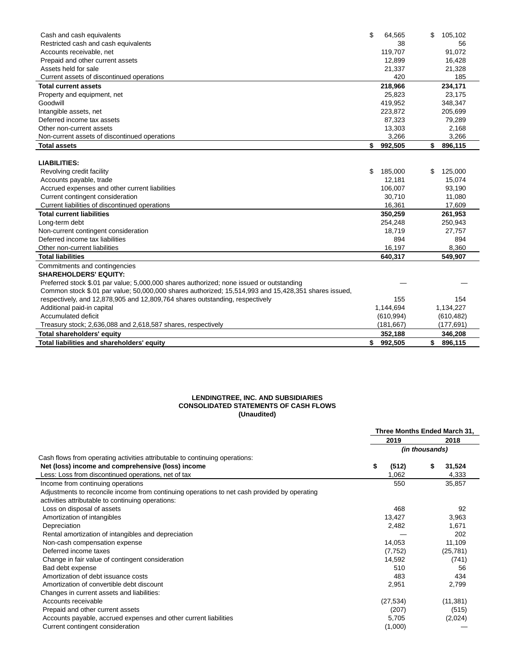| Cash and cash equivalents                                                                            | \$<br>64,565  | \$<br>105,102 |
|------------------------------------------------------------------------------------------------------|---------------|---------------|
| Restricted cash and cash equivalents                                                                 | 38            | 56            |
| Accounts receivable, net                                                                             | 119.707       | 91,072        |
| Prepaid and other current assets                                                                     | 12,899        | 16,428        |
| Assets held for sale                                                                                 | 21,337        | 21,328        |
| Current assets of discontinued operations                                                            | 420           | 185           |
| <b>Total current assets</b>                                                                          | 218,966       | 234,171       |
| Property and equipment, net                                                                          | 25,823        | 23,175        |
| Goodwill                                                                                             | 419,952       | 348,347       |
| Intangible assets, net                                                                               | 223,872       | 205,699       |
| Deferred income tax assets                                                                           | 87,323        | 79,289        |
| Other non-current assets                                                                             | 13,303        | 2,168         |
| Non-current assets of discontinued operations                                                        | 3,266         | 3,266         |
| <b>Total assets</b>                                                                                  | \$<br>992,505 | \$<br>896,115 |
|                                                                                                      |               |               |
| <b>LIABILITIES:</b>                                                                                  |               |               |
| Revolving credit facility                                                                            | \$<br>185,000 | \$<br>125,000 |
| Accounts payable, trade                                                                              | 12,181        | 15,074        |
| Accrued expenses and other current liabilities                                                       | 106,007       | 93,190        |
| Current contingent consideration                                                                     | 30,710        | 11,080        |
| Current liabilities of discontinued operations                                                       | 16,361        | 17,609        |
| <b>Total current liabilities</b>                                                                     | 350,259       | 261,953       |
| Long-term debt                                                                                       | 254,248       | 250,943       |
| Non-current contingent consideration                                                                 | 18,719        | 27,757        |
| Deferred income tax liabilities                                                                      | 894           | 894           |
| Other non-current liabilities                                                                        | 16,197        | 8,360         |
| <b>Total liabilities</b>                                                                             | 640,317       | 549,907       |
| Commitments and contingencies                                                                        |               |               |
| <b>SHAREHOLDERS' EQUITY:</b>                                                                         |               |               |
| Preferred stock \$.01 par value; 5,000,000 shares authorized; none issued or outstanding             |               |               |
| Common stock \$.01 par value; 50,000,000 shares authorized; 15,514,993 and 15,428,351 shares issued, |               |               |
| respectively, and 12,878,905 and 12,809,764 shares outstanding, respectively                         | 155           | 154           |
| Additional paid-in capital                                                                           | 1,144,694     | 1,134,227     |
| Accumulated deficit                                                                                  | (610, 994)    | (610, 482)    |
| Treasury stock; 2,636,088 and 2,618,587 shares, respectively                                         | (181, 667)    | (177,691)     |
| Total shareholders' equity                                                                           | 352,188       | 346,208       |
| Total liabilities and shareholders' equity                                                           | \$<br>992.505 | \$<br>896,115 |

## **LENDINGTREE, INC. AND SUBSIDIARIES CONSOLIDATED STATEMENTS OF CASH FLOWS (Unaudited)**

|                                                                                              | Three Months Ended March 31, |                |  |  |  |  |
|----------------------------------------------------------------------------------------------|------------------------------|----------------|--|--|--|--|
|                                                                                              | 2019                         | 2018           |  |  |  |  |
|                                                                                              |                              | (in thousands) |  |  |  |  |
| Cash flows from operating activities attributable to continuing operations:                  |                              |                |  |  |  |  |
| Net (loss) income and comprehensive (loss) income                                            | \$<br>(512)                  | \$<br>31,524   |  |  |  |  |
| Less: Loss from discontinued operations, net of tax                                          | 1,062                        | 4,333          |  |  |  |  |
| Income from continuing operations                                                            | 550                          | 35,857         |  |  |  |  |
| Adjustments to reconcile income from continuing operations to net cash provided by operating |                              |                |  |  |  |  |
| activities attributable to continuing operations:                                            |                              |                |  |  |  |  |
| Loss on disposal of assets                                                                   | 468                          | 92             |  |  |  |  |
| Amortization of intangibles                                                                  | 13,427                       | 3,963          |  |  |  |  |
| Depreciation                                                                                 | 2,482                        | 1,671          |  |  |  |  |
| Rental amortization of intangibles and depreciation                                          |                              | 202            |  |  |  |  |
| Non-cash compensation expense                                                                | 14,053                       | 11,109         |  |  |  |  |
| Deferred income taxes                                                                        | (7, 752)                     | (25, 781)      |  |  |  |  |
| Change in fair value of contingent consideration                                             | 14,592                       | (741)          |  |  |  |  |
| Bad debt expense                                                                             | 510                          | 56             |  |  |  |  |
| Amortization of debt issuance costs                                                          | 483                          | 434            |  |  |  |  |
| Amortization of convertible debt discount                                                    | 2,951                        | 2,799          |  |  |  |  |
| Changes in current assets and liabilities:                                                   |                              |                |  |  |  |  |
| Accounts receivable                                                                          | (27, 534)                    | (11, 381)      |  |  |  |  |
| Prepaid and other current assets                                                             | (207)                        | (515)          |  |  |  |  |
| Accounts payable, accrued expenses and other current liabilities                             | 5,705                        | (2,024)        |  |  |  |  |
| Current contingent consideration                                                             | (1,000)                      |                |  |  |  |  |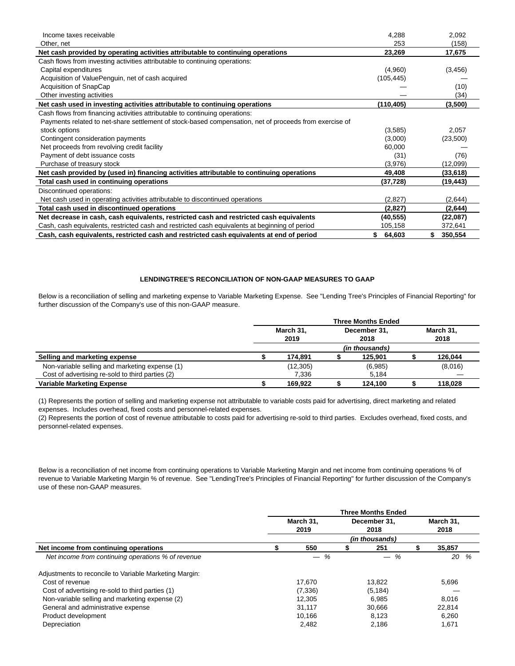| Income taxes receivable                                                                                | 4,288        | 2,092     |
|--------------------------------------------------------------------------------------------------------|--------------|-----------|
| Other, net                                                                                             | 253          | (158)     |
| Net cash provided by operating activities attributable to continuing operations                        | 23,269       | 17,675    |
| Cash flows from investing activities attributable to continuing operations:                            |              |           |
| Capital expenditures                                                                                   | (4,960)      | (3, 456)  |
| Acquisition of ValuePenguin, net of cash acquired                                                      | (105, 445)   |           |
| Acquisition of SnapCap                                                                                 |              | (10)      |
| Other investing activities                                                                             |              | (34)      |
| Net cash used in investing activities attributable to continuing operations                            | (110,405)    | (3,500)   |
| Cash flows from financing activities attributable to continuing operations:                            |              |           |
| Payments related to net-share settlement of stock-based compensation, net of proceeds from exercise of |              |           |
| stock options                                                                                          | (3,585)      | 2,057     |
| Contingent consideration payments                                                                      | (3,000)      | (23,500)  |
| Net proceeds from revolving credit facility                                                            | 60,000       |           |
| Payment of debt issuance costs                                                                         | (31)         | (76)      |
| Purchase of treasury stock                                                                             | (3,976)      | (12,099)  |
| Net cash provided by (used in) financing activities attributable to continuing operations              | 49,408       | (33,618)  |
| Total cash used in continuing operations                                                               | (37, 728)    | (19, 443) |
| Discontinued operations:                                                                               |              |           |
| Net cash used in operating activities attributable to discontinued operations                          | (2,827)      | (2,644)   |
| Total cash used in discontinued operations                                                             | (2,827)      | (2,644)   |
| Net decrease in cash, cash equivalents, restricted cash and restricted cash equivalents                | (40, 555)    | (22,087)  |
| Cash, cash equivalents, restricted cash and restricted cash equivalents at beginning of period         | 105,158      | 372,641   |
| Cash, cash equivalents, restricted cash and restricted cash equivalents at end of period               | 64,603<br>S. | 350,554   |

## **LENDINGTREE'S RECONCILIATION OF NON-GAAP MEASURES TO GAAP**

Below is a reconciliation of selling and marketing expense to Variable Marketing Expense. See "Lending Tree's Principles of Financial Reporting" for further discussion of the Company's use of this non-GAAP measure.

|                                                  | <b>Three Months Ended</b> |           |  |                       |  |           |  |  |
|--------------------------------------------------|---------------------------|-----------|--|-----------------------|--|-----------|--|--|
|                                                  | March 31,                 |           |  | December 31,          |  | March 31, |  |  |
|                                                  | 2019                      |           |  | 2018                  |  | 2018      |  |  |
|                                                  |                           |           |  | <i>(in thousands)</i> |  |           |  |  |
| Selling and marketing expense                    |                           | 174.891   |  | 125.901               |  | 126,044   |  |  |
| Non-variable selling and marketing expense (1)   |                           | (12, 305) |  | (6,985)               |  | (8,016)   |  |  |
| Cost of advertising re-sold to third parties (2) |                           | 7.336     |  | 5,184                 |  |           |  |  |
| <b>Variable Marketing Expense</b>                |                           | 169.922   |  | 124.100               |  | 118.028   |  |  |

(1) Represents the portion of selling and marketing expense not attributable to variable costs paid for advertising, direct marketing and related expenses. Includes overhead, fixed costs and personnel-related expenses.

(2) Represents the portion of cost of revenue attributable to costs paid for advertising re-sold to third parties. Excludes overhead, fixed costs, and personnel-related expenses.

Below is a reconciliation of net income from continuing operations to Variable Marketing Margin and net income from continuing operations % of revenue to Variable Marketing Margin % of revenue. See "LendingTree's Principles of Financial Reporting" for further discussion of the Company's use of these non-GAAP measures.

|                                                        | <b>Three Months Ended</b> |          |  |              |  |           |  |  |  |  |
|--------------------------------------------------------|---------------------------|----------|--|--------------|--|-----------|--|--|--|--|
|                                                        | March 31.                 |          |  | December 31. |  | March 31, |  |  |  |  |
|                                                        | 2018<br>2019<br>2018      |          |  |              |  |           |  |  |  |  |
|                                                        | (in thousands)            |          |  |              |  |           |  |  |  |  |
| Net income from continuing operations                  |                           | 550      |  | 251          |  | 35,857    |  |  |  |  |
| Net income from continuing operations % of revenue     |                           | %        |  | %            |  | 20<br>%   |  |  |  |  |
| Adjustments to reconcile to Variable Marketing Margin: |                           |          |  |              |  |           |  |  |  |  |
| Cost of revenue                                        |                           | 17.670   |  | 13.822       |  | 5,696     |  |  |  |  |
| Cost of advertising re-sold to third parties (1)       |                           | (7, 336) |  | (5, 184)     |  |           |  |  |  |  |
| Non-variable selling and marketing expense (2)         |                           | 12.305   |  | 6.985        |  | 8,016     |  |  |  |  |
| General and administrative expense                     |                           | 31.117   |  | 30,666       |  | 22,814    |  |  |  |  |
| Product development                                    |                           | 10.166   |  | 8.123        |  | 6,260     |  |  |  |  |
| Depreciation                                           |                           | 2.482    |  | 2.186        |  | 1,671     |  |  |  |  |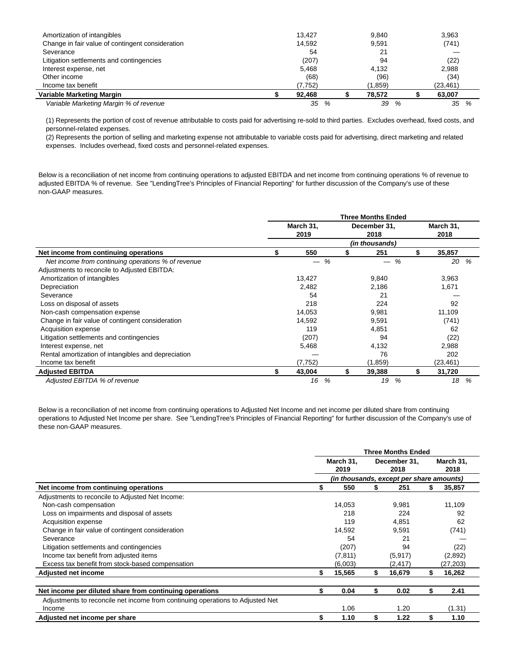| Amortization of intangibles                      | 13.427  | 9.840   |   | 3.963     |   |  |
|--------------------------------------------------|---------|---------|---|-----------|---|--|
| Change in fair value of contingent consideration | 14.592  | 9,591   |   | (741)     |   |  |
| Severance                                        | 54      | 21      |   |           |   |  |
| Litigation settlements and contingencies         | (207)   | 94      |   | (22)      |   |  |
| Interest expense, net                            | 5.468   | 4.132   |   | 2,988     |   |  |
| Other income                                     | (68)    | (96)    |   | (34)      |   |  |
| Income tax benefit                               | (7,752) | (1,859) |   | (23, 461) |   |  |
| Variable Marketing Margin                        | 92.468  | 78.572  |   | 63.007    |   |  |
| Variable Marketing Margin % of revenue           | 35<br>% | 39      | % | 35        | % |  |

(1) Represents the portion of cost of revenue attributable to costs paid for advertising re-sold to third parties. Excludes overhead, fixed costs, and personnel-related expenses.

(2) Represents the portion of selling and marketing expense not attributable to variable costs paid for advertising, direct marketing and related expenses. Includes overhead, fixed costs and personnel-related expenses.

 $\overline{a}$ 

Below is a reconciliation of net income from continuing operations to adjusted EBITDA and net income from continuing operations % of revenue to adjusted EBITDA % of revenue. See "LendingTree's Principles of Financial Reporting" for further discussion of the Company's use of these non-GAAP measures.

|                                                     |                |                   |    | <b>Three Months Ended</b> |    |                   |      |  |  |  |
|-----------------------------------------------------|----------------|-------------------|----|---------------------------|----|-------------------|------|--|--|--|
|                                                     |                | March 31,<br>2019 |    | December 31,<br>2018      |    | March 31,<br>2018 |      |  |  |  |
|                                                     | (in thousands) |                   |    |                           |    |                   |      |  |  |  |
| Net income from continuing operations               | \$             | 550               | S  | 251                       | \$ | 35,857            |      |  |  |  |
| Net income from continuing operations % of revenue  |                | %                 |    | %                         |    |                   | 20 % |  |  |  |
| Adjustments to reconcile to Adjusted EBITDA:        |                |                   |    |                           |    |                   |      |  |  |  |
| Amortization of intangibles                         |                | 13,427            |    | 9,840                     |    | 3,963             |      |  |  |  |
| Depreciation                                        |                | 2,482             |    | 2,186                     |    | 1,671             |      |  |  |  |
| Severance                                           |                | 54                |    | 21                        |    |                   |      |  |  |  |
| Loss on disposal of assets                          |                | 218               |    | 224                       |    | 92                |      |  |  |  |
| Non-cash compensation expense                       |                | 14,053            |    | 9,981                     |    | 11,109            |      |  |  |  |
| Change in fair value of contingent consideration    |                | 14,592            |    | 9,591                     |    | (741)             |      |  |  |  |
| Acquisition expense                                 |                | 119               |    | 4,851                     |    | 62                |      |  |  |  |
| Litigation settlements and contingencies            |                | (207)             |    | 94                        |    | (22)              |      |  |  |  |
| Interest expense, net                               |                | 5,468             |    | 4,132                     |    | 2,988             |      |  |  |  |
| Rental amortization of intangibles and depreciation |                |                   |    | 76                        |    | 202               |      |  |  |  |
| Income tax benefit                                  |                | (7, 752)          |    | (1,859)                   |    | (23, 461)         |      |  |  |  |
| <b>Adiusted EBITDA</b>                              | \$             | 43,004            | \$ | 39,388                    | \$ | 31,720            |      |  |  |  |
| Adiusted EBITDA % of revenue                        |                | %<br>16           |    | %<br>19                   |    | 18                | %    |  |  |  |

Below is a reconciliation of net income from continuing operations to Adjusted Net Income and net income per diluted share from continuing operations to Adjusted Net Income per share. See "LendingTree's Principles of Financial Reporting" for further discussion of the Company's use of these non-GAAP measures.

|                                                                                |              | <b>Three Months Ended</b>                |    |           |
|--------------------------------------------------------------------------------|--------------|------------------------------------------|----|-----------|
|                                                                                | March 31,    | December 31,                             |    | March 31, |
|                                                                                | 2019         | 2018                                     |    | 2018      |
|                                                                                |              | (in thousands, except per share amounts) |    |           |
| Net income from continuing operations                                          | \$<br>550    | 251                                      | S  | 35,857    |
| Adjustments to reconcile to Adjusted Net Income:                               |              |                                          |    |           |
| Non-cash compensation                                                          | 14.053       | 9.981                                    |    | 11,109    |
| Loss on impairments and disposal of assets                                     | 218          | 224                                      |    | 92        |
| Acquisition expense                                                            | 119          | 4.851                                    |    | 62        |
| Change in fair value of contingent consideration                               | 14,592       | 9,591                                    |    | (741)     |
| Severance                                                                      | 54           | 21                                       |    |           |
| Litigation settlements and contingencies                                       | (207)        | 94                                       |    | (22)      |
| Income tax benefit from adjusted items                                         | (7, 811)     | (5, 917)                                 |    | (2,892)   |
| Excess tax benefit from stock-based compensation                               | (6,003)      | (2,417)                                  |    | (27,203)  |
| Adjusted net income                                                            | \$<br>15,565 | 16,679                                   | \$ | 16,262    |
|                                                                                |              |                                          |    |           |
| Net income per diluted share from continuing operations                        | \$<br>0.04   | \$<br>0.02                               | \$ | 2.41      |
| Adjustments to reconcile net income from continuing operations to Adjusted Net |              |                                          |    |           |
| Income                                                                         | 1.06         | 1.20                                     |    | (1.31)    |
| Adjusted net income per share                                                  | \$<br>1.10   | 1.22                                     | \$ | 1.10      |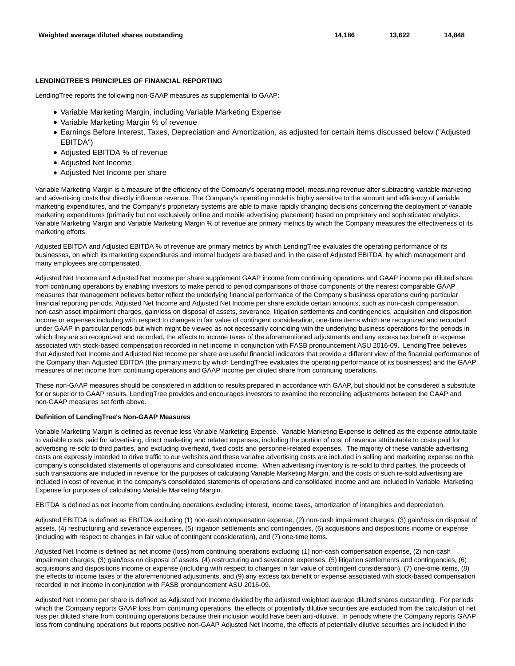#### **LENDINGTREE'S PRINCIPLES OF FINANCIAL REPORTING**

LendingTree reports the following non-GAAP measures as supplemental to GAAP:

- Variable Marketing Margin, including Variable Marketing Expense
- Variable Marketing Margin % of revenue
- Earnings Before Interest, Taxes, Depreciation and Amortization, as adjusted for certain items discussed below ("Adjusted EBITDA")
- Adjusted EBITDA % of revenue
- Adjusted Net Income
- Adjusted Net Income per share

Variable Marketing Margin is a measure of the efficiency of the Company's operating model, measuring revenue after subtracting variable marketing and advertising costs that directly influence revenue. The Company's operating model is highly sensitive to the amount and efficiency of variable marketing expenditures, and the Company's proprietary systems are able to make rapidly changing decisions concerning the deployment of variable marketing expenditures (primarily but not exclusively online and mobile advertising placement) based on proprietary and sophisticated analytics. Variable Marketing Margin and Variable Marketing Margin % of revenue are primary metrics by which the Company measures the effectiveness of its marketing efforts.

Adjusted EBITDA and Adjusted EBITDA % of revenue are primary metrics by which LendingTree evaluates the operating performance of its businesses, on which its marketing expenditures and internal budgets are based and, in the case of Adjusted EBITDA, by which management and many employees are compensated.

Adjusted Net Income and Adjusted Net Income per share supplement GAAP income from continuing operations and GAAP income per diluted share from continuing operations by enabling investors to make period to period comparisons of those components of the nearest comparable GAAP measures that management believes better reflect the underlying financial performance of the Company's business operations during particular financial reporting periods. Adjusted Net Income and Adjusted Net Income per share exclude certain amounts, such as non-cash compensation, non-cash asset impairment charges, gain/loss on disposal of assets, severance, litigation settlements and contingencies, acquisition and disposition income or expenses including with respect to changes in fair value of contingent consideration, one-time items which are recognized and recorded under GAAP in particular periods but which might be viewed as not necessarily coinciding with the underlying business operations for the periods in which they are so recognized and recorded, the effects to income taxes of the aforementioned adjustments and any excess tax benefit or expense associated with stock-based compensation recorded in net income in conjunction with FASB pronouncement ASU 2016-09. LendingTree believes that Adjusted Net Income and Adjusted Net Income per share are useful financial indicators that provide a different view of the financial performance of the Company than Adjusted EBITDA (the primary metric by which LendingTree evaluates the operating performance of its businesses) and the GAAP measures of net income from continuing operations and GAAP income per diluted share from continuing operations.

These non-GAAP measures should be considered in addition to results prepared in accordance with GAAP, but should not be considered a substitute for or superior to GAAP results. LendingTree provides and encourages investors to examine the reconciling adjustments between the GAAP and non-GAAP measures set forth above.

#### **Definition of LendingTree's Non-GAAP Measures**

Variable Marketing Margin is defined as revenue less Variable Marketing Expense. Variable Marketing Expense is defined as the expense attributable to variable costs paid for advertising, direct marketing and related expenses, including the portion of cost of revenue attributable to costs paid for advertising re-sold to third parties, and excluding overhead, fixed costs and personnel-related expenses. The majority of these variable advertising costs are expressly intended to drive traffic to our websites and these variable advertising costs are included in selling and marketing expense on the company's consolidated statements of operations and consolidated income. When advertising inventory is re-sold to third parties, the proceeds of such transactions are included in revenue for the purposes of calculating Variable Marketing Margin, and the costs of such re-sold advertising are included in cost of revenue in the company's consolidated statements of operations and consolidated income and are included in Variable Marketing Expense for purposes of calculating Variable Marketing Margin.

EBITDA is defined as net income from continuing operations excluding interest, income taxes, amortization of intangibles and depreciation.

Adjusted EBITDA is defined as EBITDA excluding (1) non-cash compensation expense, (2) non-cash impairment charges, (3) gain/loss on disposal of assets, (4) restructuring and severance expenses, (5) litigation settlements and contingencies, (6) acquisitions and dispositions income or expense (including with respect to changes in fair value of contingent consideration), and (7) one-time items.

Adjusted Net Income is defined as net income (loss) from continuing operations excluding (1) non-cash compensation expense, (2) non-cash impairment charges, (3) gain/loss on disposal of assets, (4) restructuring and severance expenses, (5) litigation settlements and contingencies, (6) acquisitions and dispositions income or expense (including with respect to changes in fair value of contingent consideration), (7) one-time items, (8) the effects to income taxes of the aforementioned adjustments, and (9) any excess tax benefit or expense associated with stock-based compensation recorded in net income in conjunction with FASB pronouncement ASU 2016-09.

Adjusted Net Income per share is defined as Adjusted Net Income divided by the adjusted weighted average diluted shares outstanding. For periods which the Company reports GAAP loss from continuing operations, the effects of potentially dilutive securities are excluded from the calculation of net loss per diluted share from continuing operations because their inclusion would have been anti-dilutive. In periods where the Company reports GAAP loss from continuing operations but reports positive non-GAAP Adjusted Net Income, the effects of potentially dilutive securities are included in the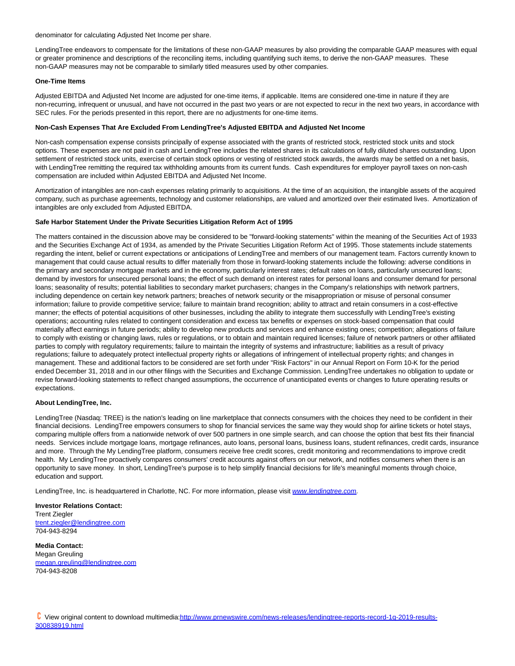denominator for calculating Adjusted Net Income per share.

LendingTree endeavors to compensate for the limitations of these non-GAAP measures by also providing the comparable GAAP measures with equal or greater prominence and descriptions of the reconciling items, including quantifying such items, to derive the non-GAAP measures. These non-GAAP measures may not be comparable to similarly titled measures used by other companies.

#### **One-Time Items**

Adjusted EBITDA and Adjusted Net Income are adjusted for one-time items, if applicable. Items are considered one-time in nature if they are non-recurring, infrequent or unusual, and have not occurred in the past two years or are not expected to recur in the next two years, in accordance with SEC rules. For the periods presented in this report, there are no adjustments for one-time items.

#### **Non-Cash Expenses That Are Excluded From LendingTree's Adjusted EBITDA and Adjusted Net Income**

Non-cash compensation expense consists principally of expense associated with the grants of restricted stock, restricted stock units and stock options. These expenses are not paid in cash and LendingTree includes the related shares in its calculations of fully diluted shares outstanding. Upon settlement of restricted stock units, exercise of certain stock options or vesting of restricted stock awards, the awards may be settled on a net basis, with LendingTree remitting the required tax withholding amounts from its current funds. Cash expenditures for employer payroll taxes on non-cash compensation are included within Adjusted EBITDA and Adjusted Net Income.

Amortization of intangibles are non-cash expenses relating primarily to acquisitions. At the time of an acquisition, the intangible assets of the acquired company, such as purchase agreements, technology and customer relationships, are valued and amortized over their estimated lives. Amortization of intangibles are only excluded from Adjusted EBITDA.

#### **Safe Harbor Statement Under the Private Securities Litigation Reform Act of 1995**

The matters contained in the discussion above may be considered to be "forward-looking statements" within the meaning of the Securities Act of 1933 and the Securities Exchange Act of 1934, as amended by the Private Securities Litigation Reform Act of 1995. Those statements include statements regarding the intent, belief or current expectations or anticipations of LendingTree and members of our management team. Factors currently known to management that could cause actual results to differ materially from those in forward-looking statements include the following: adverse conditions in the primary and secondary mortgage markets and in the economy, particularly interest rates; default rates on loans, particularly unsecured loans; demand by investors for unsecured personal loans; the effect of such demand on interest rates for personal loans and consumer demand for personal loans; seasonality of results; potential liabilities to secondary market purchasers; changes in the Company's relationships with network partners, including dependence on certain key network partners; breaches of network security or the misappropriation or misuse of personal consumer information; failure to provide competitive service; failure to maintain brand recognition; ability to attract and retain consumers in a cost-effective manner; the effects of potential acquisitions of other businesses, including the ability to integrate them successfully with LendingTree's existing operations; accounting rules related to contingent consideration and excess tax benefits or expenses on stock-based compensation that could materially affect earnings in future periods; ability to develop new products and services and enhance existing ones; competition; allegations of failure to comply with existing or changing laws, rules or regulations, or to obtain and maintain required licenses; failure of network partners or other affiliated parties to comply with regulatory requirements; failure to maintain the integrity of systems and infrastructure; liabilities as a result of privacy regulations; failure to adequately protect intellectual property rights or allegations of infringement of intellectual property rights; and changes in management. These and additional factors to be considered are set forth under "Risk Factors" in our Annual Report on Form 10-K for the period ended December 31, 2018 and in our other filings with the Securities and Exchange Commission. LendingTree undertakes no obligation to update or revise forward-looking statements to reflect changed assumptions, the occurrence of unanticipated events or changes to future operating results or expectations.

#### **About LendingTree, Inc.**

LendingTree (Nasdaq: TREE) is the nation's leading on line marketplace that connects consumers with the choices they need to be confident in their financial decisions. LendingTree empowers consumers to shop for financial services the same way they would shop for airline tickets or hotel stays, comparing multiple offers from a nationwide network of over 500 partners in one simple search, and can choose the option that best fits their financial needs. Services include mortgage loans, mortgage refinances, auto loans, personal loans, business loans, student refinances, credit cards, insurance and more. Through the My LendingTree platform, consumers receive free credit scores, credit monitoring and recommendations to improve credit health. My LendingTree proactively compares consumers' credit accounts against offers on our network, and notifies consumers when there is an opportunity to save money. In short, LendingTree's purpose is to help simplify financial decisions for life's meaningful moments through choice, education and support.

LendingTree, Inc. is headquartered in Charlotte, NC. For more information, please visit [www.lendingtree.com](https://c212.net/c/link/?t=0&l=en&o=2447809-1&h=895867521&u=http%3A%2F%2Fwww.lendingtree.com%2F&a=www.lendingtree.com).

**Investor Relations Contact:** Trent Ziegler [trent.ziegler@lendingtree.com](mailto:trent.ziegler@lendingtree.com) 704-943-8294

**Media Contact:** Megan Greuling [megan.greuling@lendingtree.com](mailto:megan.greuling@lendingtree.com) 704-943-8208